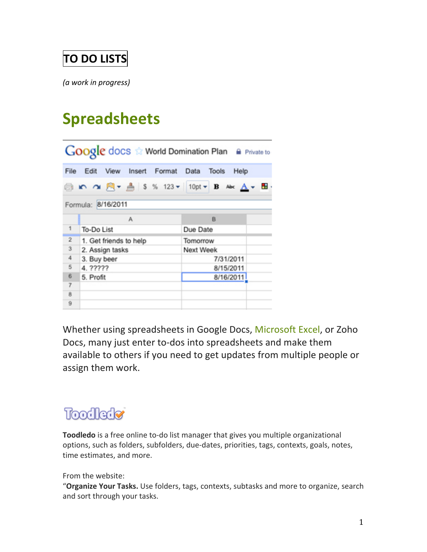#### **TO DO LISTS**

*(a work in progress)* 

### **Spreadsheets**

| Google docs to World Domination Plan A Private to |                        |                               |                                                                       |      |
|---------------------------------------------------|------------------------|-------------------------------|-----------------------------------------------------------------------|------|
| File                                              | Edit                   | View Insert Format Data Tools |                                                                       | Help |
|                                                   |                        |                               | @ 10 ∩1 周 → ▲ \$ % 123 <del>+</del> 10pt <b>+ B</b> Ak <u>A</u> + 图 · |      |
| Formula: 8/16/2011                                |                        |                               |                                                                       |      |
|                                                   | Α                      |                               | B                                                                     |      |
| 1                                                 | To-Do List             |                               | Due Date                                                              |      |
| $\overline{2}$                                    | 1. Get friends to help |                               | Tomorrow                                                              |      |
| $\overline{\mathbf{3}}$                           | 2. Assign tasks        |                               | Next Week                                                             |      |
| 4                                                 | 3. Buy beer            |                               | 7/31/2011                                                             |      |
| 5                                                 | 4. ?????               |                               | 8/15/2011                                                             |      |
| 6                                                 | 5. Profit              |                               | 8/16/2011                                                             |      |
| $\overline{7}$                                    |                        |                               |                                                                       |      |
| 8                                                 |                        |                               |                                                                       |      |
| 9                                                 |                        |                               |                                                                       |      |

Whether using spreadsheets in Google Docs, Microsoft Excel, or Zoho Docs, many just enter to-dos into spreadsheets and make them available to others if you need to get updates from multiple people or assign them work.

## Toodlede

Toodledo is a free online to-do list manager that gives you multiple organizational options, such as folders, subfolders, due-dates, priorities, tags, contexts, goals, notes, time estimates, and more.

From the website:

"Organize Your Tasks. Use folders, tags, contexts, subtasks and more to organize, search and sort through your tasks.